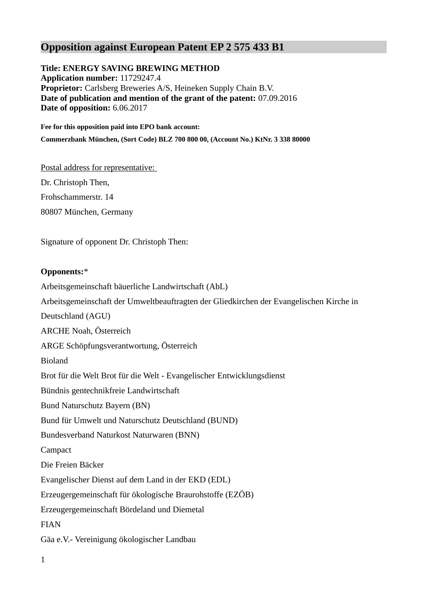# **Opposition against European Patent EP 2 575 433 B1**

**Title: ENERGY SAVING BREWING METHOD Application number:** 11729247.4 **Proprietor:** Carlsberg Breweries A/S, Heineken Supply Chain B.V. **Date of publication and mention of the grant of the patent:** 07.09.2016 **Date of opposition:** 6.06.2017

**Fee for this opposition paid into EPO bank account: Commerzbank München, (Sort Code) BLZ 700 800 00, (Account No.) KtNr. 3 338 80000** 

Postal address for representative:

Dr. Christoph Then, Frohschammerstr. 14 80807 München, Germany

Signature of opponent Dr. Christoph Then:

# **Opponents:**\*

Arbeitsgemeinschaft bäuerliche Landwirtschaft (AbL) Arbeitsgemeinschaft der Umweltbeauftragten der Gliedkirchen der Evangelischen Kirche in Deutschland (AGU) ARCHE Noah, Österreich ARGE Schöpfungsverantwortung, Österreich Bioland Brot für die Welt Brot für die Welt - Evangelischer Entwicklungsdienst Bündnis gentechnikfreie Landwirtschaft Bund Naturschutz Bayern (BN) Bund für Umwelt und Naturschutz Deutschland (BUND) Bundesverband Naturkost Naturwaren (BNN) Campact Die Freien Bäcker Evangelischer Dienst auf dem Land in der EKD (EDL) Erzeugergemeinschaft für ökologische Braurohstoffe (EZÖB) Erzeugergemeinschaft Bördeland und Diemetal FIAN Gäa e.V.- Vereinigung ökologischer Landbau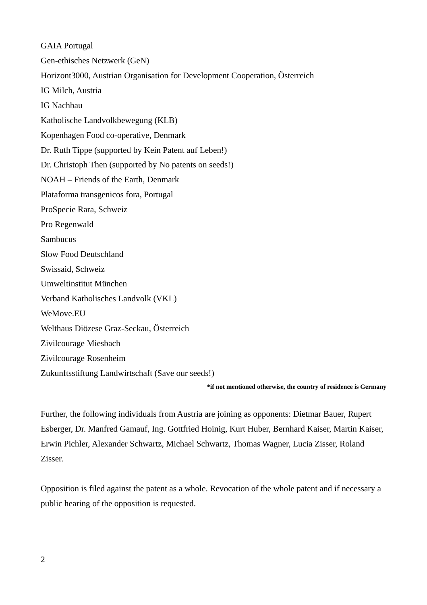GAIA Portugal Gen-ethisches Netzwerk (GeN) Horizont3000, Austrian Organisation for Development Cooperation, Österreich IG Milch, Austria IG Nachbau Katholische Landvolkbewegung (KLB) Kopenhagen Food co-operative, Denmark Dr. Ruth Tippe (supported by Kein Patent auf Leben!) Dr. Christoph Then (supported by No patents on seeds!) NOAH – Friends of the Earth, Denmark Plataforma transgenicos fora, Portugal ProSpecie Rara, Schweiz Pro Regenwald Sambucus Slow Food Deutschland Swissaid, Schweiz Umweltinstitut München Verband Katholisches Landvolk (VKL) WeMove.EU Welthaus Diözese Graz-Seckau, Österreich Zivilcourage Miesbach Zivilcourage Rosenheim Zukunftsstiftung Landwirtschaft (Save our seeds!)

**\*if not mentioned otherwise, the country of residence is Germany**

Further, the following individuals from Austria are joining as opponents: Dietmar Bauer, Rupert Esberger, Dr. Manfred Gamauf, Ing. Gottfried Hoinig, Kurt Huber, Bernhard Kaiser, Martin Kaiser, Erwin Pichler, Alexander Schwartz, Michael Schwartz, Thomas Wagner, Lucia Zisser, Roland Zisser.

Opposition is filed against the patent as a whole. Revocation of the whole patent and if necessary a public hearing of the opposition is requested.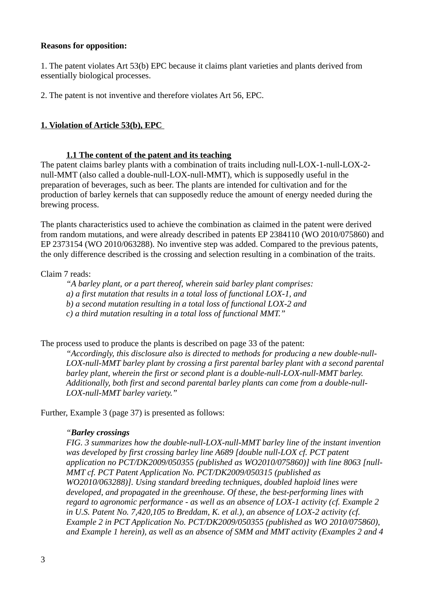#### **Reasons for opposition:**

1. The patent violates Art 53(b) EPC because it claims plant varieties and plants derived from essentially biological processes.

2. The patent is not inventive and therefore violates Art 56, EPC.

# **1. Violation of Article 53(b), EPC**

#### **1.1 The content of the patent and its teaching**

The patent claims barley plants with a combination of traits including null-LOX-1-null-LOX-2 null-MMT (also called a double-null-LOX-null-MMT), which is supposedly useful in the preparation of beverages, such as beer. The plants are intended for cultivation and for the production of barley kernels that can supposedly reduce the amount of energy needed during the brewing process.

The plants characteristics used to achieve the combination as claimed in the patent were derived from random mutations, and were already described in patents EP 2384110 (WO 2010/075860) and EP 2373154 (WO 2010/063288). No inventive step was added. Compared to the previous patents, the only difference described is the crossing and selection resulting in a combination of the traits.

#### Claim 7 reads:

*"A barley plant, or a part thereof, wherein said barley plant comprises:* 

*a) a first mutation that results in a total loss of functional LOX-1, and* 

*b) a second mutation resulting in a total loss of functional LOX-2 and* 

*c) a third mutation resulting in a total loss of functional MMT."*

The process used to produce the plants is described on page 33 of the patent:

*"Accordingly, this disclosure also is directed to methods for producing a new double-null-LOX-null-MMT barley plant by crossing a first parental barley plant with a second parental barley plant, wherein the first or second plant is a double-null-LOX-null-MMT barley. Additionally, both first and second parental barley plants can come from a double-null-LOX-null-MMT barley variety."* 

Further, Example 3 (page 37) is presented as follows:

#### *"Barley crossings*

*FIG. 3 summarizes how the double-null-LOX-null-MMT barley line of the instant invention was developed by first crossing barley line A689 [double null-LOX cf. PCT patent application no PCT/DK2009/050355 (published as WO2010/075860)] with line 8063 [null-MMT cf. PCT Patent Application No. PCT/DK2009/050315 (published as WO2010/063288)]. Using standard breeding techniques, doubled haploid lines were developed, and propagated in the greenhouse. Of these, the best-performing lines with regard to agronomic performance - as well as an absence of LOX-1 activity (cf. Example 2 in U.S. Patent No. 7,420,105 to Breddam, K. et al.), an absence of LOX-2 activity (cf. Example 2 in PCT Application No. PCT/DK2009/050355 (published as WO 2010/075860), and Example 1 herein), as well as an absence of SMM and MMT activity (Examples 2 and 4*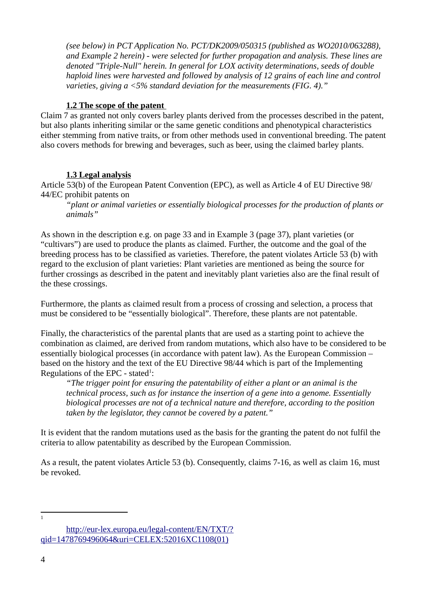*(see below) in PCT Application No. PCT/DK2009/050315 (published as WO2010/063288), and Example 2 herein) - were selected for further propagation and analysis. These lines are denoted "Triple-Null" herein. In general for LOX activity determinations, seeds of double haploid lines were harvested and followed by analysis of 12 grains of each line and control varieties, giving a <5% standard deviation for the measurements (FIG. 4)."* 

# **1.2 The scope of the patent**

Claim 7 as granted not only covers barley plants derived from the processes described in the patent, but also plants inheriting similar or the same genetic conditions and phenotypical characteristics either stemming from native traits, or from other methods used in conventional breeding. The patent also covers methods for brewing and beverages, such as beer, using the claimed barley plants.

## **1.3 Legal analysis**

Article 53(b) of the European Patent Convention (EPC), as well as Article 4 of EU Directive 98/ 44/EC prohibit patents on

*"plant or animal varieties or essentially biological processes for the production of plants or animals"*

As shown in the description e.g. on page 33 and in Example 3 (page 37), plant varieties (or "cultivars") are used to produce the plants as claimed. Further, the outcome and the goal of the breeding process has to be classified as varieties. Therefore, the patent violates Article 53 (b) with regard to the exclusion of plant varieties: Plant varieties are mentioned as being the source for further crossings as described in the patent and inevitably plant varieties also are the final result of the these crossings.

Furthermore, the plants as claimed result from a process of crossing and selection, a process that must be considered to be "essentially biological". Therefore, these plants are not patentable.

Finally, the characteristics of the parental plants that are used as a starting point to achieve the combination as claimed, are derived from random mutations, which also have to be considered to be essentially biological processes (in accordance with patent law). As the European Commission – based on the history and the text of the EU Directive 98/44 which is part of the Implementing Regulations of the EPC - stated $1$ :

*"The trigger point for ensuring the patentability of either a plant or an animal is the technical process, such as for instance the insertion of a gene into a genome. Essentially biological processes are not of a technical nature and therefore, according to the position taken by the legislator, they cannot be covered by a patent."*

It is evident that the random mutations used as the basis for the granting the patent do not fulfil the criteria to allow patentability as described by the European Commission.

As a result, the patent violates Article 53 (b). Consequently, claims 7-16, as well as claim 16, must be revoked.

<span id="page-3-0"></span>1

[http://eur-lex.europa.eu/legal-content/EN/TXT/?](http://eur-lex.europa.eu/legal-content/EN/TXT/?qid=1478769496064&uri=CELEX:52016XC1108(01)) [qid=1478769496064&uri=CELEX:52016XC1108\(01\)](http://eur-lex.europa.eu/legal-content/EN/TXT/?qid=1478769496064&uri=CELEX:52016XC1108(01))